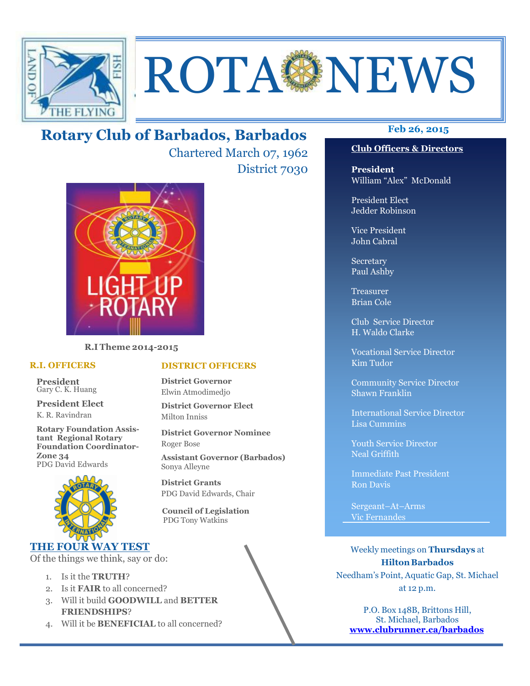

# ROTA NEWS

## **Feb 26, 2015 Rotary Club of Barbados, Barbados**

Chartered March 07, 1962 District 7030



**R.I Theme 2014-2015** 

#### **R.I. OFFICERS**

**President** Gary C. K. Huang

**President Elect** K. R. Ravindran

**Rotary Foundation Assistant Regional Rotary Foundation Coordinator-Zone 34**  PDG David Edwards



#### **THE FOUR WAY TEST**

Of the things we think, say or do:

- 1. Is it the **TRUTH**?
- 2. Is it **FAIR** to all concerned?
- 3. Will it build **GOODWILL** and **BETTER FRIENDSHIPS**?
- 4. Will it be **BENEFICIAL** to all concerned?

#### **Club Officers & Directors**

**President** William "Alex" McDonald

President Elect Jedder Robinson

Vice President John Cabral

Secretary Paul Ashby

Treasurer Brian Cole

Club Service Director H. Waldo Clarke

Vocational Service Director Kim Tudor

Community Service Director Shawn Franklin

International Service Director Lisa Cummins

Youth Service Director Neal Griffith

Immediate Past President Ron Davis

Sergeant–At–Arms Vic Fernandes

Weekly meetings on **Thursdays** at **Hilton Barbados** Needham's Point, Aquatic Gap, St. Michael at 12 p.m.

P.O. Box 148B, Brittons Hill, St. Michael, Barbados **www.clubrunner.ca/barbados**

#### **DISTRICT OFFICERS**

**District Governor** Elwin Atmodimedjo

**District Governor Elect** Milton Inniss

**District Governor Nominee**  Roger Bose

**Assistant Governor (Barbados)** Sonya Alleyne

**District Grants**  PDG David Edwards, Chair

 **Council of Legislation**  PDG Tony Watkins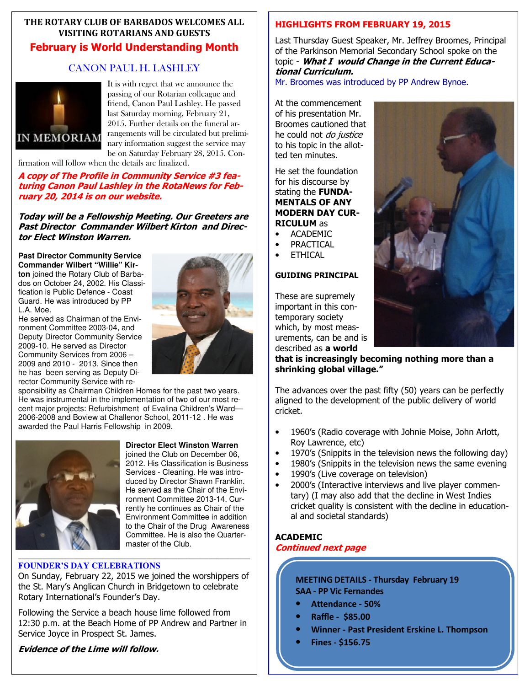#### **THE ROTARY CLUB OF BARBADOS WELCOMES ALL VISITING ROTARIANS AND GUESTS February is World Understanding Month**

#### CANON PAUL H. LASHLEY



It is with regret that we announce the passing of our Rotarian colleague and friend, Canon Paul Lashley. He passed last Saturday morning, February 21, 2015. Further details on the funeral arrangements will be circulated but preliminary information suggest the service may be on Saturday February 28, 2015. Con-

firmation will follow when the details are finalized.

**A copy of The Profile in Community Service #3 featuring Canon Paul Lashley in the RotaNews for February 20, 2014 is on our website.** 

**Today will be a Fellowship Meeting. Our Greeters are Past Director Commander Wilbert Kirton and Director Elect Winston Warren.** 

**Past Director Community Service Commander Wilbert "Willie" Kirton** joined the Rotary Club of Barbados on October 24, 2002. His Classification is Public Defence - Coast Guard. He was introduced by PP L.A. Moe.

He served as Chairman of the Environment Committee 2003-04, and Deputy Director Community Service 2009-10. He served as Director Community Services from 2006 – 2009 and 2010 - 2013. Since then he has been serving as Deputy Director Community Service with re-



sponsibility as Chairman Children Homes for the past two years. He was instrumental in the implementation of two of our most recent major projects: Refurbishment of Evalina Children's Ward— 2006-2008 and Boview at Challenor School, 2011-12 . He was awarded the Paul Harris Fellowship in 2009.



#### **Director Elect Winston Warren**

joined the Club on December 06, 2012. His Classification is Business Services - Cleaning. He was introduced by Director Shawn Franklin. He served as the Chair of the Environment Committee 2013-14. Currently he continues as Chair of the Environment Committee in addition to the Chair of the Drug Awareness Committee. He is also the Quartermaster of the Club.

#### **FOUNDER'S DAY CELEBRATIONS**

On Sunday, February 22, 2015 we joined the worshippers of the St. Mary's Anglican Church in Bridgetown to celebrate Rotary International's Founder's Day.

Following the Service a beach house lime followed from 12:30 p.m. at the Beach Home of PP Andrew and Partner in Service Joyce in Prospect St. James.

#### **Evidence of the Lime will follow.**

#### **HIGHLIGHTS FROM FEBRUARY 19, 2015**

Last Thursday Guest Speaker, Mr. Jeffrey Broomes, Principal of the Parkinson Memorial Secondary School spoke on the topic - **What I would Change in the Current Educational Curriculum.** 

Mr. Broomes was introduced by PP Andrew Bynoe.

At the commencement of his presentation Mr. Broomes cautioned that he could not *do justice* to his topic in the allotted ten minutes.

#### He set the foundation for his discourse by stating the **FUNDA-MENTALS OF ANY MODERN DAY CUR-RICULUM** as

- ACADEMIC
- PRACTICAL
- ETHICAL

#### **GUIDING PRINCIPAL**

These are supremely important in this contemporary society which, by most measurements, can be and is described as **a world** 



**that is increasingly becoming nothing more than a shrinking global village."** 

The advances over the past fifty (50) years can be perfectly aligned to the development of the public delivery of world cricket.

- 1960's (Radio coverage with Johnie Moise, John Arlott, Roy Lawrence, etc)
- 1970's (Snippits in the television news the following day)
- 1980's (Snippits in the television news the same evening
- 1990's (Live coverage on television)
- 2000's (Interactive interviews and live player commentary) (I may also add that the decline in West Indies cricket quality is consistent with the decline in educational and societal standards)

#### **ACADEMIC**

#### **Continued next page**

**MEETING DETAILS - Thursday February 19 SAA - PP Vic Fernandes** 

- Attendance 50%
- **Raffle \$85.00**
- **Winner Past President Erskine L. Thompson**
- **Fines \$156.75**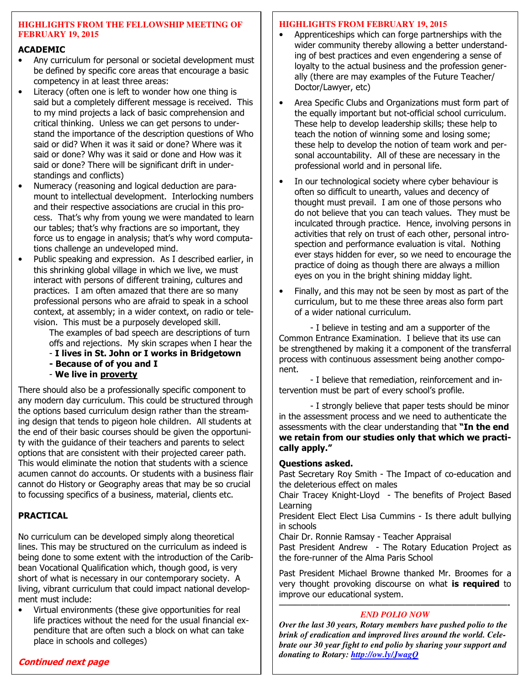#### **HIGHLIGHTS FROM THE FELLOWSHIP MEETING OF FEBRUARY 19, 2015**

#### **ACADEMIC**

- Any curriculum for personal or societal development must be defined by specific core areas that encourage a basic competency in at least three areas:
- Literacy (often one is left to wonder how one thing is said but a completely different message is received. This to my mind projects a lack of basic comprehension and critical thinking. Unless we can get persons to understand the importance of the description questions of Who said or did? When it was it said or done? Where was it said or done? Why was it said or done and How was it said or done? There will be significant drift in understandings and conflicts)
- Numeracy (reasoning and logical deduction are paramount to intellectual development. Interlocking numbers and their respective associations are crucial in this process. That's why from young we were mandated to learn our tables; that's why fractions are so important, they force us to engage in analysis; that's why word computations challenge an undeveloped mind.
- Public speaking and expression. As I described earlier, in this shrinking global village in which we live, we must interact with persons of different training, cultures and practices. I am often amazed that there are so many professional persons who are afraid to speak in a school context, at assembly; in a wider context, on radio or television. This must be a purposely developed skill.

 The examples of bad speech are descriptions of turn offs and rejections. My skin scrapes when I hear the

- **I lives in St. John or I works in Bridgetown**
- **Because of of you and I**
- **We live in proverty**

There should also be a professionally specific component to any modern day curriculum. This could be structured through the options based curriculum design rather than the streaming design that tends to pigeon hole children. All students at the end of their basic courses should be given the opportunity with the guidance of their teachers and parents to select options that are consistent with their projected career path. This would eliminate the notion that students with a science acumen cannot do accounts. Or students with a business flair cannot do History or Geography areas that may be so crucial to focussing specifics of a business, material, clients etc.

#### **PRACTICAL**

No curriculum can be developed simply along theoretical lines. This may be structured on the curriculum as indeed is being done to some extent with the introduction of the Caribbean Vocational Qualification which, though good, is very short of what is necessary in our contemporary society. A living, vibrant curriculum that could impact national development must include:

• Virtual environments (these give opportunities for real life practices without the need for the usual financial expenditure that are often such a block on what can take place in schools and colleges)

#### **HIGHLIGHTS FROM FEBRUARY 19, 2015**

- Apprenticeships which can forge partnerships with the wider community thereby allowing a better understanding of best practices and even engendering a sense of loyalty to the actual business and the profession generally (there are may examples of the Future Teacher/ Doctor/Lawyer, etc)
- Area Specific Clubs and Organizations must form part of the equally important but not-official school curriculum. These help to develop leadership skills; these help to teach the notion of winning some and losing some; these help to develop the notion of team work and personal accountability. All of these are necessary in the professional world and in personal life.
- In our technological society where cyber behaviour is often so difficult to unearth, values and decency of thought must prevail. I am one of those persons who do not believe that you can teach values. They must be inculcated through practice. Hence, involving persons in activities that rely on trust of each other, personal introspection and performance evaluation is vital. Nothing ever stays hidden for ever, so we need to encourage the practice of doing as though there are always a million eyes on you in the bright shining midday light.
- Finally, and this may not be seen by most as part of the curriculum, but to me these three areas also form part of a wider national curriculum.

 - I believe in testing and am a supporter of the Common Entrance Examination. I believe that its use can be strengthened by making it a component of the transferral process with continuous assessment being another component.

 - I believe that remediation, reinforcement and intervention must be part of every school's profile.

 - I strongly believe that paper tests should be minor in the assessment process and we need to authenticate the assessments with the clear understanding that **"In the end we retain from our studies only that which we practically apply."**

#### **Questions asked.**

Past Secretary Roy Smith - The Impact of co-education and the deleterious effect on males

Chair Tracey Knight-Lloyd - The benefits of Project Based Learning

President Elect Elect Lisa Cummins - Is there adult bullying in schools

Chair Dr. Ronnie Ramsay - Teacher Appraisal

Past President Andrew - The Rotary Education Project as the fore-runner of the Alma Paris School

Past President Michael Browne thanked Mr. Broomes for a very thought provoking discourse on what **is required** to improve our educational system.

#### —————————————————————————————- *END POLIO NOW*

*Over the last 30 years, Rotary members have pushed polio to the brink of eradication and improved lives around the world. Celebrate our 30 year fight to end polio by sharing your support and donating to Rotary: http://ow.ly/JwagQ*

#### **Continued next page**